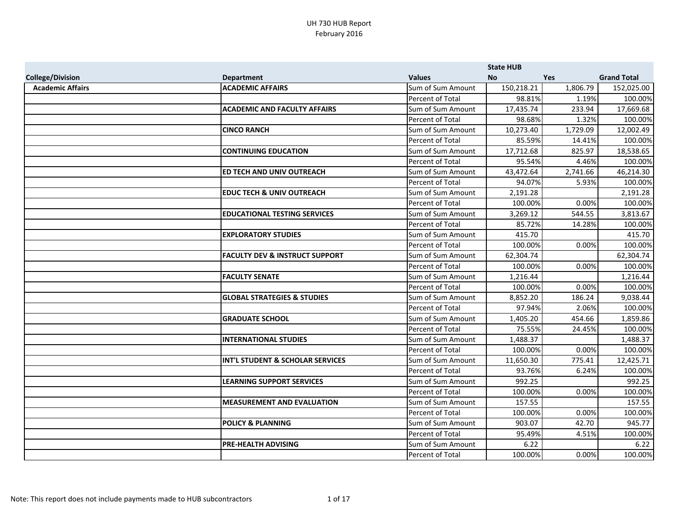|                         |                                           |                   | <b>State HUB</b> |            |                    |
|-------------------------|-------------------------------------------|-------------------|------------------|------------|--------------------|
| <b>College/Division</b> | <b>Department</b>                         | <b>Values</b>     | <b>No</b>        | <b>Yes</b> | <b>Grand Total</b> |
| <b>Academic Affairs</b> | <b>ACADEMIC AFFAIRS</b>                   | Sum of Sum Amount | 150,218.21       | 1,806.79   | 152,025.00         |
|                         |                                           | Percent of Total  | 98.81%           | 1.19%      | 100.00%            |
|                         | <b>ACADEMIC AND FACULTY AFFAIRS</b>       | Sum of Sum Amount | 17,435.74        | 233.94     | 17,669.68          |
|                         |                                           | Percent of Total  | 98.68%           | 1.32%      | 100.00%            |
|                         | <b>CINCO RANCH</b>                        | Sum of Sum Amount | 10,273.40        | 1,729.09   | 12,002.49          |
|                         |                                           | Percent of Total  | 85.59%           | 14.41%     | 100.00%            |
|                         | <b>CONTINUING EDUCATION</b>               | Sum of Sum Amount | 17,712.68        | 825.97     | 18,538.65          |
|                         |                                           | Percent of Total  | 95.54%           | 4.46%      | 100.00%            |
|                         | <b>ED TECH AND UNIV OUTREACH</b>          | Sum of Sum Amount | 43,472.64        | 2,741.66   | 46,214.30          |
|                         |                                           | Percent of Total  | 94.07%           | 5.93%      | 100.00%            |
|                         | <b>EDUC TECH &amp; UNIV OUTREACH</b>      | Sum of Sum Amount | 2,191.28         |            | 2,191.28           |
|                         |                                           | Percent of Total  | 100.00%          | 0.00%      | 100.00%            |
|                         | <b>EDUCATIONAL TESTING SERVICES</b>       | Sum of Sum Amount | 3,269.12         | 544.55     | 3,813.67           |
|                         |                                           | Percent of Total  | 85.72%           | 14.28%     | 100.00%            |
|                         | <b>EXPLORATORY STUDIES</b>                | Sum of Sum Amount | 415.70           |            | 415.70             |
|                         |                                           | Percent of Total  | 100.00%          | 0.00%      | 100.00%            |
|                         | <b>FACULTY DEV &amp; INSTRUCT SUPPORT</b> | Sum of Sum Amount | 62,304.74        |            | 62,304.74          |
|                         |                                           | Percent of Total  | 100.00%          | 0.00%      | 100.00%            |
|                         | <b>FACULTY SENATE</b>                     | Sum of Sum Amount | 1,216.44         |            | 1,216.44           |
|                         |                                           | Percent of Total  | 100.00%          | 0.00%      | 100.00%            |
|                         | <b>GLOBAL STRATEGIES &amp; STUDIES</b>    | Sum of Sum Amount | 8,852.20         | 186.24     | 9,038.44           |
|                         |                                           | Percent of Total  | 97.94%           | 2.06%      | 100.00%            |
|                         | <b>GRADUATE SCHOOL</b>                    | Sum of Sum Amount | 1,405.20         | 454.66     | 1,859.86           |
|                         |                                           | Percent of Total  | 75.55%           | 24.45%     | 100.00%            |
|                         | <b>INTERNATIONAL STUDIES</b>              | Sum of Sum Amount | 1,488.37         |            | 1,488.37           |
|                         |                                           | Percent of Total  | 100.00%          | 0.00%      | 100.00%            |
|                         | INT'L STUDENT & SCHOLAR SERVICES          | Sum of Sum Amount | 11,650.30        | 775.41     | 12,425.71          |
|                         |                                           | Percent of Total  | 93.76%           | 6.24%      | 100.00%            |
|                         | <b>LEARNING SUPPORT SERVICES</b>          | Sum of Sum Amount | 992.25           |            | 992.25             |
|                         |                                           | Percent of Total  | 100.00%          | 0.00%      | 100.00%            |
|                         | <b>MEASUREMENT AND EVALUATION</b>         | Sum of Sum Amount | 157.55           |            | 157.55             |
|                         |                                           | Percent of Total  | 100.00%          | 0.00%      | 100.00%            |
|                         | <b>POLICY &amp; PLANNING</b>              | Sum of Sum Amount | 903.07           | 42.70      | 945.77             |
|                         |                                           | Percent of Total  | 95.49%           | 4.51%      | 100.00%            |
|                         | <b>PRE-HEALTH ADVISING</b>                | Sum of Sum Amount | 6.22             |            | 6.22               |
|                         |                                           | Percent of Total  | 100.00%          | 0.00%      | 100.00%            |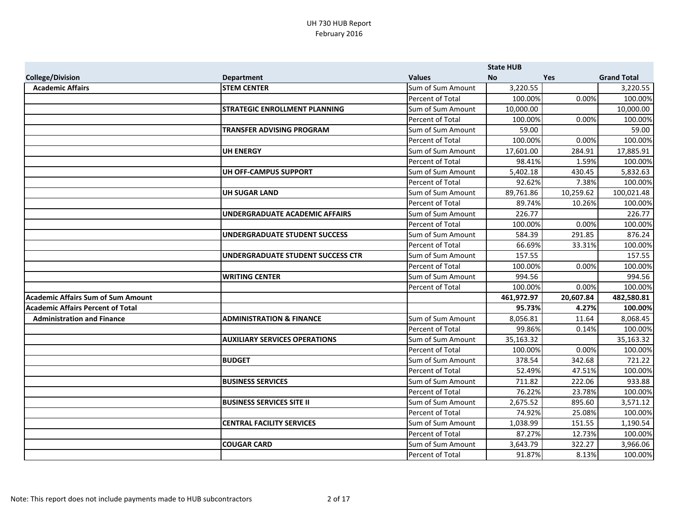|                                           |                                      |                         | <b>State HUB</b> |            |                    |
|-------------------------------------------|--------------------------------------|-------------------------|------------------|------------|--------------------|
| <b>College/Division</b>                   | <b>Department</b>                    | <b>Values</b>           | <b>No</b>        | <b>Yes</b> | <b>Grand Total</b> |
| <b>Academic Affairs</b>                   | <b>STEM CENTER</b>                   | Sum of Sum Amount       | 3,220.55         |            | 3,220.55           |
|                                           |                                      | Percent of Total        | 100.00%          | 0.00%      | 100.00%            |
|                                           | <b>STRATEGIC ENROLLMENT PLANNING</b> | Sum of Sum Amount       | 10,000.00        |            | 10,000.00          |
|                                           |                                      | Percent of Total        | 100.00%          | 0.00%      | 100.00%            |
|                                           | TRANSFER ADVISING PROGRAM            | Sum of Sum Amount       | 59.00            |            | 59.00              |
|                                           |                                      | <b>Percent of Total</b> | 100.00%          | 0.00%      | 100.00%            |
|                                           | <b>UH ENERGY</b>                     | Sum of Sum Amount       | 17,601.00        | 284.91     | 17,885.91          |
|                                           |                                      | <b>Percent of Total</b> | 98.41%           | 1.59%      | 100.00%            |
|                                           | UH OFF-CAMPUS SUPPORT                | Sum of Sum Amount       | 5,402.18         | 430.45     | 5,832.63           |
|                                           |                                      | Percent of Total        | 92.62%           | 7.38%      | 100.00%            |
|                                           | <b>UH SUGAR LAND</b>                 | Sum of Sum Amount       | 89,761.86        | 10,259.62  | 100,021.48         |
|                                           |                                      | Percent of Total        | 89.74%           | 10.26%     | 100.00%            |
|                                           | UNDERGRADUATE ACADEMIC AFFAIRS       | Sum of Sum Amount       | 226.77           |            | 226.77             |
|                                           |                                      | Percent of Total        | 100.00%          | 0.00%      | 100.00%            |
|                                           | UNDERGRADUATE STUDENT SUCCESS        | Sum of Sum Amount       | 584.39           | 291.85     | 876.24             |
|                                           |                                      | <b>Percent of Total</b> | 66.69%           | 33.31%     | 100.00%            |
|                                           | UNDERGRADUATE STUDENT SUCCESS CTR    | Sum of Sum Amount       | 157.55           |            | 157.55             |
|                                           |                                      | Percent of Total        | 100.00%          | 0.00%      | 100.00%            |
|                                           | <b>WRITING CENTER</b>                | Sum of Sum Amount       | 994.56           |            | 994.56             |
|                                           |                                      | Percent of Total        | 100.00%          | 0.00%      | 100.00%            |
| <b>Academic Affairs Sum of Sum Amount</b> |                                      |                         | 461,972.97       | 20,607.84  | 482,580.81         |
| <b>Academic Affairs Percent of Total</b>  |                                      |                         | 95.73%           | 4.27%      | 100.00%            |
| <b>Administration and Finance</b>         | <b>ADMINISTRATION &amp; FINANCE</b>  | Sum of Sum Amount       | 8,056.81         | 11.64      | 8,068.45           |
|                                           |                                      | Percent of Total        | 99.86%           | 0.14%      | 100.00%            |
|                                           | <b>AUXILIARY SERVICES OPERATIONS</b> | Sum of Sum Amount       | 35,163.32        |            | 35,163.32          |
|                                           |                                      | <b>Percent of Total</b> | 100.00%          | 0.00%      | 100.00%            |
|                                           | <b>BUDGET</b>                        | Sum of Sum Amount       | 378.54           | 342.68     | 721.22             |
|                                           |                                      | <b>Percent of Total</b> | 52.49%           | 47.51%     | 100.00%            |
|                                           | <b>BUSINESS SERVICES</b>             | Sum of Sum Amount       | 711.82           | 222.06     | 933.88             |
|                                           |                                      | Percent of Total        | 76.22%           | 23.78%     | 100.00%            |
|                                           | <b>BUSINESS SERVICES SITE II</b>     | Sum of Sum Amount       | 2,675.52         | 895.60     | 3,571.12           |
|                                           |                                      | Percent of Total        | 74.92%           | 25.08%     | 100.00%            |
|                                           | <b>CENTRAL FACILITY SERVICES</b>     | Sum of Sum Amount       | 1,038.99         | 151.55     | 1,190.54           |
|                                           |                                      | Percent of Total        | 87.27%           | 12.73%     | 100.00%            |
|                                           | <b>COUGAR CARD</b>                   | Sum of Sum Amount       | 3,643.79         | 322.27     | 3,966.06           |
|                                           |                                      | Percent of Total        | 91.87%           | 8.13%      | 100.00%            |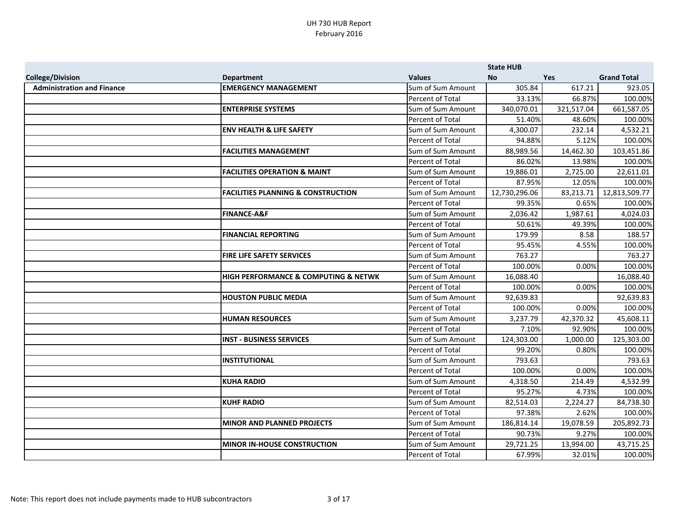|                                   |                                               |                   | <b>State HUB</b> |            |                    |
|-----------------------------------|-----------------------------------------------|-------------------|------------------|------------|--------------------|
| <b>College/Division</b>           | <b>Department</b>                             | <b>Values</b>     | <b>No</b>        | <b>Yes</b> | <b>Grand Total</b> |
| <b>Administration and Finance</b> | <b>EMERGENCY MANAGEMENT</b>                   | Sum of Sum Amount | 305.84           | 617.21     | 923.05             |
|                                   |                                               | Percent of Total  | 33.13%           | 66.87%     | 100.00%            |
|                                   | <b>ENTERPRISE SYSTEMS</b>                     | Sum of Sum Amount | 340,070.01       | 321,517.04 | 661,587.05         |
|                                   |                                               | Percent of Total  | 51.40%           | 48.60%     | 100.00%            |
|                                   | <b>ENV HEALTH &amp; LIFE SAFETY</b>           | Sum of Sum Amount | 4,300.07         | 232.14     | 4,532.21           |
|                                   |                                               | Percent of Total  | 94.88%           | 5.12%      | 100.00%            |
|                                   | <b>FACILITIES MANAGEMENT</b>                  | Sum of Sum Amount | 88,989.56        | 14,462.30  | 103,451.86         |
|                                   |                                               | Percent of Total  | 86.02%           | 13.98%     | 100.00%            |
|                                   | <b>FACILITIES OPERATION &amp; MAINT</b>       | Sum of Sum Amount | 19,886.01        | 2,725.00   | 22,611.01          |
|                                   |                                               | Percent of Total  | 87.95%           | 12.05%     | 100.00%            |
|                                   | <b>FACILITIES PLANNING &amp; CONSTRUCTION</b> | Sum of Sum Amount | 12,730,296.06    | 83,213.71  | 12,813,509.77      |
|                                   |                                               | Percent of Total  | 99.35%           | 0.65%      | 100.00%            |
|                                   | <b>FINANCE-A&amp;F</b>                        | Sum of Sum Amount | 2,036.42         | 1,987.61   | 4,024.03           |
|                                   |                                               | Percent of Total  | 50.61%           | 49.39%     | 100.00%            |
|                                   | <b>FINANCIAL REPORTING</b>                    | Sum of Sum Amount | 179.99           | 8.58       | 188.57             |
|                                   |                                               | Percent of Total  | 95.45%           | 4.55%      | 100.00%            |
|                                   | <b>FIRE LIFE SAFETY SERVICES</b>              | Sum of Sum Amount | 763.27           |            | 763.27             |
|                                   |                                               | Percent of Total  | 100.00%          | 0.00%      | 100.00%            |
|                                   | HIGH PERFORMANCE & COMPUTING & NETWK          | Sum of Sum Amount | 16,088.40        |            | 16,088.40          |
|                                   |                                               | Percent of Total  | 100.00%          | 0.00%      | 100.00%            |
|                                   | <b>HOUSTON PUBLIC MEDIA</b>                   | Sum of Sum Amount | 92,639.83        |            | 92,639.83          |
|                                   |                                               | Percent of Total  | 100.00%          | 0.00%      | 100.00%            |
|                                   | <b>HUMAN RESOURCES</b>                        | Sum of Sum Amount | 3,237.79         | 42,370.32  | 45,608.11          |
|                                   |                                               | Percent of Total  | 7.10%            | 92.90%     | 100.00%            |
|                                   | <b>INST - BUSINESS SERVICES</b>               | Sum of Sum Amount | 124,303.00       | 1,000.00   | 125,303.00         |
|                                   |                                               | Percent of Total  | 99.20%           | 0.80%      | 100.00%            |
|                                   | <b>INSTITUTIONAL</b>                          | Sum of Sum Amount | 793.63           |            | 793.63             |
|                                   |                                               | Percent of Total  | 100.00%          | 0.00%      | 100.00%            |
|                                   | <b>KUHA RADIO</b>                             | Sum of Sum Amount | 4,318.50         | 214.49     | 4,532.99           |
|                                   |                                               | Percent of Total  | 95.27%           | 4.73%      | 100.00%            |
|                                   | <b>KUHF RADIO</b>                             | Sum of Sum Amount | 82,514.03        | 2,224.27   | 84,738.30          |
|                                   |                                               | Percent of Total  | 97.38%           | 2.62%      | 100.00%            |
|                                   | <b>MINOR AND PLANNED PROJECTS</b>             | Sum of Sum Amount | 186,814.14       | 19,078.59  | 205,892.73         |
|                                   |                                               | Percent of Total  | 90.73%           | 9.27%      | 100.00%            |
|                                   | <b>MINOR IN-HOUSE CONSTRUCTION</b>            | Sum of Sum Amount | 29,721.25        | 13,994.00  | 43,715.25          |
|                                   |                                               | Percent of Total  | 67.99%           | 32.01%     | 100.00%            |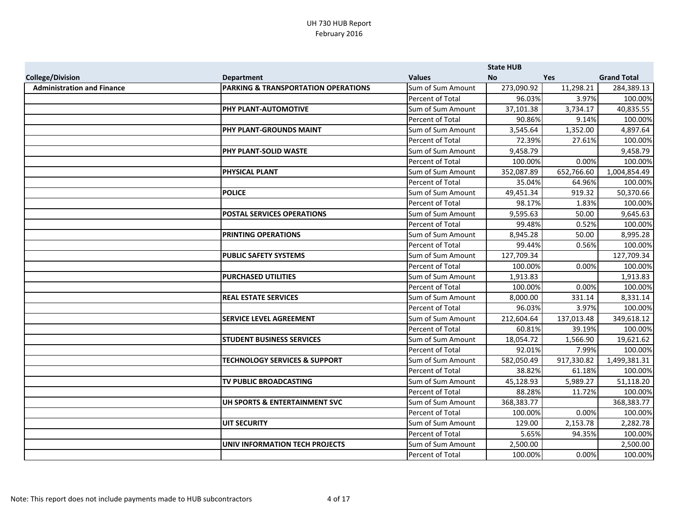|                                   |                                          |                         | <b>State HUB</b> |            |                    |
|-----------------------------------|------------------------------------------|-------------------------|------------------|------------|--------------------|
| <b>College/Division</b>           | <b>Department</b>                        | <b>Values</b>           | <b>No</b>        | <b>Yes</b> | <b>Grand Total</b> |
| <b>Administration and Finance</b> | PARKING & TRANSPORTATION OPERATIONS      | Sum of Sum Amount       | 273,090.92       | 11,298.21  | 284,389.13         |
|                                   |                                          | Percent of Total        | 96.03%           | 3.97%      | 100.00%            |
|                                   | PHY PLANT-AUTOMOTIVE                     | Sum of Sum Amount       | 37,101.38        | 3,734.17   | 40,835.55          |
|                                   |                                          | Percent of Total        | 90.86%           | 9.14%      | 100.00%            |
|                                   | PHY PLANT-GROUNDS MAINT                  | Sum of Sum Amount       | 3,545.64         | 1,352.00   | 4,897.64           |
|                                   |                                          | Percent of Total        | 72.39%           | 27.61%     | 100.00%            |
|                                   | PHY PLANT-SOLID WASTE                    | Sum of Sum Amount       | 9,458.79         |            | 9,458.79           |
|                                   |                                          | <b>Percent of Total</b> | 100.00%          | 0.00%      | 100.00%            |
|                                   | <b>PHYSICAL PLANT</b>                    | Sum of Sum Amount       | 352,087.89       | 652,766.60 | 1,004,854.49       |
|                                   |                                          | Percent of Total        | 35.04%           | 64.96%     | 100.00%            |
|                                   | <b>POLICE</b>                            | Sum of Sum Amount       | 49,451.34        | 919.32     | 50,370.66          |
|                                   |                                          | Percent of Total        | 98.17%           | 1.83%      | 100.00%            |
|                                   | <b>POSTAL SERVICES OPERATIONS</b>        | Sum of Sum Amount       | 9,595.63         | 50.00      | 9,645.63           |
|                                   |                                          | Percent of Total        | 99.48%           | 0.52%      | 100.00%            |
|                                   | PRINTING OPERATIONS                      | Sum of Sum Amount       | 8,945.28         | 50.00      | 8,995.28           |
|                                   |                                          | Percent of Total        | 99.44%           | 0.56%      | 100.00%            |
|                                   | <b>PUBLIC SAFETY SYSTEMS</b>             | Sum of Sum Amount       | 127,709.34       |            | 127,709.34         |
|                                   |                                          | Percent of Total        | 100.00%          | 0.00%      | 100.00%            |
|                                   | <b>PURCHASED UTILITIES</b>               | Sum of Sum Amount       | 1,913.83         |            | 1,913.83           |
|                                   |                                          | Percent of Total        | 100.00%          | 0.00%      | 100.00%            |
|                                   | <b>REAL ESTATE SERVICES</b>              | Sum of Sum Amount       | 8,000.00         | 331.14     | 8,331.14           |
|                                   |                                          | Percent of Total        | 96.03%           | 3.97%      | 100.00%            |
|                                   | <b>SERVICE LEVEL AGREEMENT</b>           | Sum of Sum Amount       | 212,604.64       | 137,013.48 | 349,618.12         |
|                                   |                                          | Percent of Total        | 60.81%           | 39.19%     | 100.00%            |
|                                   | <b>STUDENT BUSINESS SERVICES</b>         | Sum of Sum Amount       | 18,054.72        | 1,566.90   | 19,621.62          |
|                                   |                                          | Percent of Total        | 92.01%           | 7.99%      | 100.00%            |
|                                   | <b>TECHNOLOGY SERVICES &amp; SUPPORT</b> | Sum of Sum Amount       | 582,050.49       | 917,330.82 | 1,499,381.31       |
|                                   |                                          | Percent of Total        | 38.82%           | 61.18%     | 100.00%            |
|                                   | <b>TV PUBLIC BROADCASTING</b>            | Sum of Sum Amount       | 45,128.93        | 5,989.27   | 51,118.20          |
|                                   |                                          | Percent of Total        | 88.28%           | 11.72%     | 100.00%            |
|                                   | UH SPORTS & ENTERTAINMENT SVC            | Sum of Sum Amount       | 368,383.77       |            | 368,383.77         |
|                                   |                                          | Percent of Total        | 100.00%          | 0.00%      | 100.00%            |
|                                   | <b>UIT SECURITY</b>                      | Sum of Sum Amount       | 129.00           | 2,153.78   | 2,282.78           |
|                                   |                                          | Percent of Total        | 5.65%            | 94.35%     | 100.00%            |
|                                   | UNIV INFORMATION TECH PROJECTS           | Sum of Sum Amount       | 2,500.00         |            | 2,500.00           |
|                                   |                                          | Percent of Total        | 100.00%          | 0.00%      | 100.00%            |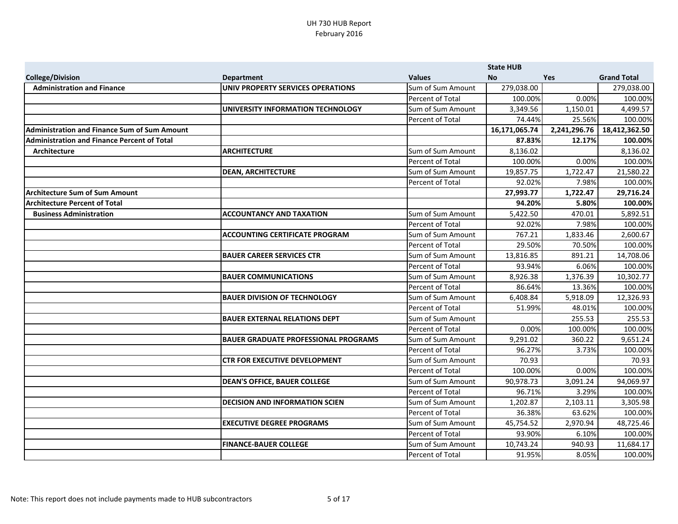|                                                     |                                             |                         | <b>State HUB</b> |              |                    |
|-----------------------------------------------------|---------------------------------------------|-------------------------|------------------|--------------|--------------------|
| <b>College/Division</b>                             | <b>Department</b>                           | <b>Values</b>           | <b>No</b>        | <b>Yes</b>   | <b>Grand Total</b> |
| <b>Administration and Finance</b>                   | UNIV PROPERTY SERVICES OPERATIONS           | Sum of Sum Amount       | 279,038.00       |              | 279,038.00         |
|                                                     |                                             | Percent of Total        | 100.00%          | 0.00%        | 100.00%            |
|                                                     | UNIVERSITY INFORMATION TECHNOLOGY           | Sum of Sum Amount       | 3,349.56         | 1,150.01     | 4,499.57           |
|                                                     |                                             | Percent of Total        | 74.44%           | 25.56%       | 100.00%            |
| <b>Administration and Finance Sum of Sum Amount</b> |                                             |                         | 16,171,065.74    | 2,241,296.76 | 18,412,362.50      |
| <b>Administration and Finance Percent of Total</b>  |                                             |                         | 87.83%           | 12.17%       | 100.00%            |
| Architecture                                        | <b>ARCHITECTURE</b>                         | Sum of Sum Amount       | 8,136.02         |              | 8,136.02           |
|                                                     |                                             | Percent of Total        | 100.00%          | 0.00%        | 100.00%            |
|                                                     | <b>DEAN, ARCHITECTURE</b>                   | Sum of Sum Amount       | 19,857.75        | 1,722.47     | 21,580.22          |
|                                                     |                                             | Percent of Total        | 92.02%           | 7.98%        | 100.00%            |
| <b>Architecture Sum of Sum Amount</b>               |                                             |                         | 27,993.77        | 1,722.47     | 29,716.24          |
| <b>Architecture Percent of Total</b>                |                                             |                         | 94.20%           | 5.80%        | 100.00%            |
| <b>Business Administration</b>                      | <b>ACCOUNTANCY AND TAXATION</b>             | Sum of Sum Amount       | 5,422.50         | 470.01       | 5,892.51           |
|                                                     |                                             | Percent of Total        | 92.02%           | 7.98%        | 100.00%            |
|                                                     | <b>ACCOUNTING CERTIFICATE PROGRAM</b>       | Sum of Sum Amount       | 767.21           | 1,833.46     | 2,600.67           |
|                                                     |                                             | Percent of Total        | 29.50%           | 70.50%       | 100.00%            |
|                                                     | <b>BAUER CAREER SERVICES CTR</b>            | Sum of Sum Amount       | 13,816.85        | 891.21       | 14,708.06          |
|                                                     |                                             | <b>Percent of Total</b> | 93.94%           | 6.06%        | 100.00%            |
|                                                     | <b>BAUER COMMUNICATIONS</b>                 | Sum of Sum Amount       | 8,926.38         | 1,376.39     | 10,302.77          |
|                                                     |                                             | <b>Percent of Total</b> | 86.64%           | 13.36%       | 100.00%            |
|                                                     | <b>BAUER DIVISION OF TECHNOLOGY</b>         | Sum of Sum Amount       | 6,408.84         | 5,918.09     | 12,326.93          |
|                                                     |                                             | Percent of Total        | 51.99%           | 48.01%       | 100.00%            |
|                                                     | <b>BAUER EXTERNAL RELATIONS DEPT</b>        | Sum of Sum Amount       |                  | 255.53       | 255.53             |
|                                                     |                                             | Percent of Total        | 0.00%            | 100.00%      | 100.00%            |
|                                                     | <b>BAUER GRADUATE PROFESSIONAL PROGRAMS</b> | Sum of Sum Amount       | 9,291.02         | 360.22       | 9,651.24           |
|                                                     |                                             | Percent of Total        | 96.27%           | 3.73%        | 100.00%            |
|                                                     | <b>CTR FOR EXECUTIVE DEVELOPMENT</b>        | Sum of Sum Amount       | 70.93            |              | 70.93              |
|                                                     |                                             | Percent of Total        | 100.00%          | 0.00%        | 100.00%            |
|                                                     | <b>DEAN'S OFFICE, BAUER COLLEGE</b>         | Sum of Sum Amount       | 90,978.73        | 3,091.24     | 94,069.97          |
|                                                     |                                             | Percent of Total        | 96.71%           | 3.29%        | 100.00%            |
|                                                     | <b>DECISION AND INFORMATION SCIEN</b>       | Sum of Sum Amount       | 1,202.87         | 2,103.11     | 3,305.98           |
|                                                     |                                             | Percent of Total        | 36.38%           | 63.62%       | 100.00%            |
|                                                     | <b>EXECUTIVE DEGREE PROGRAMS</b>            | Sum of Sum Amount       | 45,754.52        | 2,970.94     | 48,725.46          |
|                                                     |                                             | Percent of Total        | 93.90%           | 6.10%        | 100.00%            |
|                                                     | <b>FINANCE-BAUER COLLEGE</b>                | Sum of Sum Amount       | 10,743.24        | 940.93       | 11,684.17          |
|                                                     |                                             | Percent of Total        | 91.95%           | 8.05%        | 100.00%            |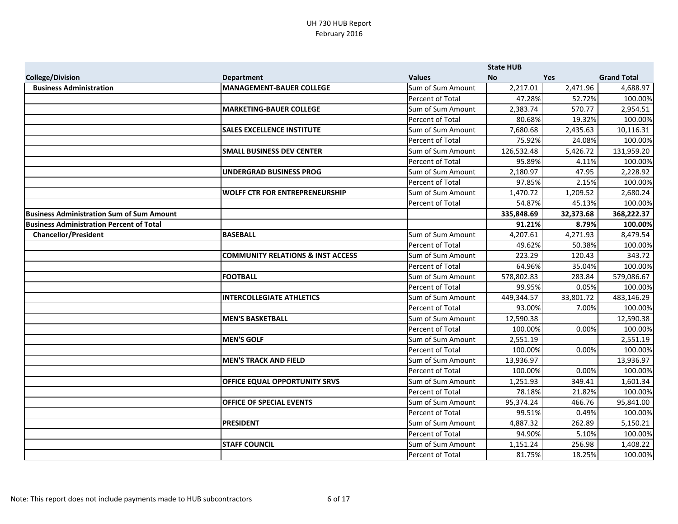|                                                  |                                              |                   | <b>State HUB</b> |            |                    |
|--------------------------------------------------|----------------------------------------------|-------------------|------------------|------------|--------------------|
| <b>College/Division</b>                          | <b>Department</b>                            | <b>Values</b>     | <b>No</b>        | <b>Yes</b> | <b>Grand Total</b> |
| <b>Business Administration</b>                   | <b>MANAGEMENT-BAUER COLLEGE</b>              | Sum of Sum Amount | 2,217.01         | 2,471.96   | 4,688.97           |
|                                                  |                                              | Percent of Total  | 47.28%           | 52.72%     | 100.00%            |
|                                                  | <b>MARKETING-BAUER COLLEGE</b>               | Sum of Sum Amount | 2,383.74         | 570.77     | 2,954.51           |
|                                                  |                                              | Percent of Total  | 80.68%           | 19.32%     | 100.00%            |
|                                                  | <b>SALES EXCELLENCE INSTITUTE</b>            | Sum of Sum Amount | 7,680.68         | 2,435.63   | 10,116.31          |
|                                                  |                                              | Percent of Total  | 75.92%           | 24.08%     | 100.00%            |
|                                                  | <b>SMALL BUSINESS DEV CENTER</b>             | Sum of Sum Amount | 126,532.48       | 5,426.72   | 131,959.20         |
|                                                  |                                              | Percent of Total  | 95.89%           | 4.11%      | 100.00%            |
|                                                  | <b>UNDERGRAD BUSINESS PROG</b>               | Sum of Sum Amount | 2,180.97         | 47.95      | 2,228.92           |
|                                                  |                                              | Percent of Total  | 97.85%           | 2.15%      | 100.00%            |
|                                                  | <b>WOLFF CTR FOR ENTREPRENEURSHIP</b>        | Sum of Sum Amount | 1,470.72         | 1,209.52   | 2,680.24           |
|                                                  |                                              | Percent of Total  | 54.87%           | 45.13%     | 100.00%            |
| <b>Business Administration Sum of Sum Amount</b> |                                              |                   | 335,848.69       | 32,373.68  | 368,222.37         |
| <b>Business Administration Percent of Total</b>  |                                              |                   | 91.21%           | 8.79%      | 100.00%            |
| <b>Chancellor/President</b>                      | <b>BASEBALL</b>                              | Sum of Sum Amount | 4,207.61         | 4,271.93   | 8,479.54           |
|                                                  |                                              | Percent of Total  | 49.62%           | 50.38%     | 100.00%            |
|                                                  | <b>COMMUNITY RELATIONS &amp; INST ACCESS</b> | Sum of Sum Amount | 223.29           | 120.43     | 343.72             |
|                                                  |                                              | Percent of Total  | 64.96%           | 35.04%     | 100.00%            |
|                                                  | <b>FOOTBALL</b>                              | Sum of Sum Amount | 578,802.83       | 283.84     | 579,086.67         |
|                                                  |                                              | Percent of Total  | 99.95%           | 0.05%      | 100.00%            |
|                                                  | <b>INTERCOLLEGIATE ATHLETICS</b>             | Sum of Sum Amount | 449,344.57       | 33,801.72  | 483,146.29         |
|                                                  |                                              | Percent of Total  | 93.00%           | 7.00%      | 100.00%            |
|                                                  | <b>MEN'S BASKETBALL</b>                      | Sum of Sum Amount | 12,590.38        |            | 12,590.38          |
|                                                  |                                              | Percent of Total  | 100.00%          | 0.00%      | 100.00%            |
|                                                  | <b>MEN'S GOLF</b>                            | Sum of Sum Amount | 2,551.19         |            | 2,551.19           |
|                                                  |                                              | Percent of Total  | 100.00%          | 0.00%      | 100.00%            |
|                                                  | <b>MEN'S TRACK AND FIELD</b>                 | Sum of Sum Amount | 13,936.97        |            | 13,936.97          |
|                                                  |                                              | Percent of Total  | 100.00%          | 0.00%      | 100.00%            |
|                                                  | OFFICE EQUAL OPPORTUNITY SRVS                | Sum of Sum Amount | 1,251.93         | 349.41     | 1,601.34           |
|                                                  |                                              | Percent of Total  | 78.18%           | 21.82%     | 100.00%            |
|                                                  | <b>OFFICE OF SPECIAL EVENTS</b>              | Sum of Sum Amount | 95,374.24        | 466.76     | 95,841.00          |
|                                                  |                                              | Percent of Total  | 99.51%           | 0.49%      | 100.00%            |
|                                                  | <b>PRESIDENT</b>                             | Sum of Sum Amount | 4,887.32         | 262.89     | 5,150.21           |
|                                                  |                                              | Percent of Total  | 94.90%           | 5.10%      | 100.00%            |
|                                                  | <b>STAFF COUNCIL</b>                         | Sum of Sum Amount | 1,151.24         | 256.98     | 1,408.22           |
|                                                  |                                              | Percent of Total  | 81.75%           | 18.25%     | 100.00%            |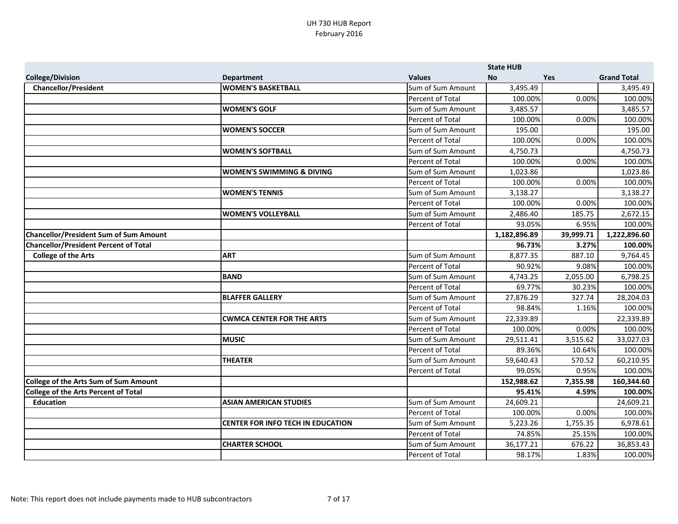|                                               |                                      |                         | <b>State HUB</b> |           |                    |
|-----------------------------------------------|--------------------------------------|-------------------------|------------------|-----------|--------------------|
| <b>College/Division</b>                       | <b>Department</b>                    | <b>Values</b>           | <b>No</b>        | Yes       | <b>Grand Total</b> |
| <b>Chancellor/President</b>                   | <b>WOMEN'S BASKETBALL</b>            | Sum of Sum Amount       | 3,495.49         |           | 3,495.49           |
|                                               |                                      | Percent of Total        | 100.00%          | 0.00%     | 100.00%            |
|                                               | <b>WOMEN'S GOLF</b>                  | Sum of Sum Amount       | 3,485.57         |           | 3,485.57           |
|                                               |                                      | <b>Percent of Total</b> | 100.00%          | 0.00%     | 100.00%            |
|                                               | <b>WOMEN'S SOCCER</b>                | Sum of Sum Amount       | 195.00           |           | 195.00             |
|                                               |                                      | <b>Percent of Total</b> | 100.00%          | 0.00%     | 100.00%            |
|                                               | <b>WOMEN'S SOFTBALL</b>              | Sum of Sum Amount       | 4,750.73         |           | 4,750.73           |
|                                               |                                      | <b>Percent of Total</b> | 100.00%          | 0.00%     | 100.00%            |
|                                               | <b>WOMEN'S SWIMMING &amp; DIVING</b> | Sum of Sum Amount       | 1,023.86         |           | 1,023.86           |
|                                               |                                      | Percent of Total        | 100.00%          | 0.00%     | 100.00%            |
|                                               | <b>WOMEN'S TENNIS</b>                | Sum of Sum Amount       | 3,138.27         |           | 3,138.27           |
|                                               |                                      | Percent of Total        | 100.00%          | 0.00%     | 100.00%            |
|                                               | <b>WOMEN'S VOLLEYBALL</b>            | Sum of Sum Amount       | 2,486.40         | 185.75    | 2,672.15           |
|                                               |                                      | Percent of Total        | 93.05%           | 6.95%     | 100.00%            |
| <b>Chancellor/President Sum of Sum Amount</b> |                                      |                         | 1,182,896.89     | 39,999.71 | 1,222,896.60       |
| <b>Chancellor/President Percent of Total</b>  |                                      |                         | 96.73%           | 3.27%     | 100.00%            |
| <b>College of the Arts</b>                    | <b>ART</b>                           | Sum of Sum Amount       | 8,877.35         | 887.10    | 9,764.45           |
|                                               |                                      | <b>Percent of Total</b> | 90.92%           | 9.08%     | 100.00%            |
|                                               | BAND                                 | Sum of Sum Amount       | 4,743.25         | 2,055.00  | 6,798.25           |
|                                               |                                      | Percent of Total        | 69.77%           | 30.23%    | 100.00%            |
|                                               | <b>BLAFFER GALLERY</b>               | Sum of Sum Amount       | 27,876.29        | 327.74    | 28,204.03          |
|                                               |                                      | Percent of Total        | 98.84%           | 1.16%     | 100.00%            |
|                                               | <b>CWMCA CENTER FOR THE ARTS</b>     | Sum of Sum Amount       | 22,339.89        |           | 22,339.89          |
|                                               |                                      | <b>Percent of Total</b> | 100.00%          | 0.00%     | 100.00%            |
|                                               | <b>MUSIC</b>                         | Sum of Sum Amount       | 29,511.41        | 3,515.62  | 33,027.03          |
|                                               |                                      | <b>Percent of Total</b> | 89.36%           | 10.64%    | 100.00%            |
|                                               | <b>THEATER</b>                       | Sum of Sum Amount       | 59,640.43        | 570.52    | 60,210.95          |
|                                               |                                      | Percent of Total        | 99.05%           | 0.95%     | 100.00%            |
| <b>College of the Arts Sum of Sum Amount</b>  |                                      |                         | 152,988.62       | 7,355.98  | 160,344.60         |
| <b>College of the Arts Percent of Total</b>   |                                      |                         | 95.41%           | 4.59%     | 100.00%            |
| <b>Education</b>                              | <b>ASIAN AMERICAN STUDIES</b>        | Sum of Sum Amount       | 24,609.21        |           | 24,609.21          |
|                                               |                                      | Percent of Total        | 100.00%          | 0.00%     | 100.00%            |
|                                               | CENTER FOR INFO TECH IN EDUCATION    | Sum of Sum Amount       | 5,223.26         | 1,755.35  | 6,978.61           |
|                                               |                                      | Percent of Total        | 74.85%           | 25.15%    | 100.00%            |
|                                               | <b>CHARTER SCHOOL</b>                | Sum of Sum Amount       | 36,177.21        | 676.22    | 36,853.43          |
|                                               |                                      | Percent of Total        | 98.17%           | 1.83%     | 100.00%            |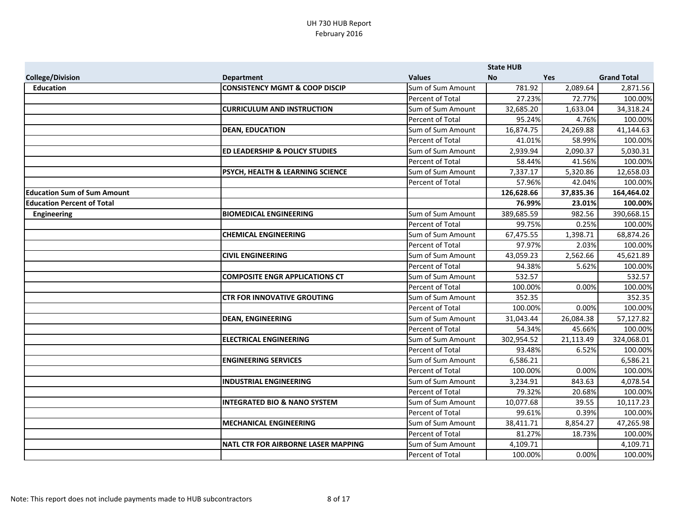|                                    |                                           |                         | <b>State HUB</b> |            |                    |
|------------------------------------|-------------------------------------------|-------------------------|------------------|------------|--------------------|
| <b>College/Division</b>            | <b>Department</b>                         | <b>Values</b>           | <b>No</b>        | <b>Yes</b> | <b>Grand Total</b> |
| <b>Education</b>                   | <b>CONSISTENCY MGMT &amp; COOP DISCIP</b> | Sum of Sum Amount       | 781.92           | 2,089.64   | 2,871.56           |
|                                    |                                           | Percent of Total        | 27.23%           | 72.77%     | 100.00%            |
|                                    | <b>CURRICULUM AND INSTRUCTION</b>         | Sum of Sum Amount       | 32,685.20        | 1,633.04   | 34,318.24          |
|                                    |                                           | Percent of Total        | 95.24%           | 4.76%      | 100.00%            |
|                                    | <b>DEAN, EDUCATION</b>                    | Sum of Sum Amount       | 16,874.75        | 24,269.88  | 41,144.63          |
|                                    |                                           | Percent of Total        | 41.01%           | 58.99%     | 100.00%            |
|                                    | <b>ED LEADERSHIP &amp; POLICY STUDIES</b> | Sum of Sum Amount       | 2,939.94         | 2,090.37   | 5,030.31           |
|                                    |                                           | Percent of Total        | 58.44%           | 41.56%     | 100.00%            |
|                                    | PSYCH, HEALTH & LEARNING SCIENCE          | Sum of Sum Amount       | 7,337.17         | 5,320.86   | 12,658.03          |
|                                    |                                           | <b>Percent of Total</b> | 57.96%           | 42.04%     | 100.00%            |
| <b>Education Sum of Sum Amount</b> |                                           |                         | 126,628.66       | 37,835.36  | 164,464.02         |
| <b>Education Percent of Total</b>  |                                           |                         | 76.99%           | 23.01%     | 100.00%            |
| <b>Engineering</b>                 | <b>BIOMEDICAL ENGINEERING</b>             | Sum of Sum Amount       | 389,685.59       | 982.56     | 390,668.15         |
|                                    |                                           | Percent of Total        | 99.75%           | 0.25%      | 100.00%            |
|                                    | <b>CHEMICAL ENGINEERING</b>               | Sum of Sum Amount       | 67,475.55        | 1,398.71   | 68,874.26          |
|                                    |                                           | Percent of Total        | 97.97%           | 2.03%      | 100.00%            |
|                                    | <b>CIVIL ENGINEERING</b>                  | Sum of Sum Amount       | 43,059.23        | 2,562.66   | 45,621.89          |
|                                    |                                           | Percent of Total        | 94.38%           | 5.62%      | 100.00%            |
|                                    | <b>COMPOSITE ENGR APPLICATIONS CT</b>     | Sum of Sum Amount       | 532.57           |            | 532.57             |
|                                    |                                           | Percent of Total        | 100.00%          | 0.00%      | 100.00%            |
|                                    | <b>CTR FOR INNOVATIVE GROUTING</b>        | Sum of Sum Amount       | 352.35           |            | 352.35             |
|                                    |                                           | Percent of Total        | 100.00%          | 0.00%      | 100.00%            |
|                                    | <b>DEAN, ENGINEERING</b>                  | Sum of Sum Amount       | 31,043.44        | 26,084.38  | 57,127.82          |
|                                    |                                           | Percent of Total        | 54.34%           | 45.66%     | 100.00%            |
|                                    | <b>ELECTRICAL ENGINEERING</b>             | Sum of Sum Amount       | 302,954.52       | 21,113.49  | 324,068.01         |
|                                    |                                           | Percent of Total        | 93.48%           | 6.52%      | 100.00%            |
|                                    | <b>ENGINEERING SERVICES</b>               | Sum of Sum Amount       | 6,586.21         |            | 6,586.21           |
|                                    |                                           | Percent of Total        | 100.00%          | 0.00%      | 100.00%            |
|                                    | <b>INDUSTRIAL ENGINEERING</b>             | Sum of Sum Amount       | 3,234.91         | 843.63     | 4,078.54           |
|                                    |                                           | <b>Percent of Total</b> | 79.32%           | 20.68%     | 100.00%            |
|                                    | <b>INTEGRATED BIO &amp; NANO SYSTEM</b>   | Sum of Sum Amount       | 10,077.68        | 39.55      | 10,117.23          |
|                                    |                                           | Percent of Total        | 99.61%           | 0.39%      | 100.00%            |
|                                    | <b>MECHANICAL ENGINEERING</b>             | Sum of Sum Amount       | 38,411.71        | 8,854.27   | 47,265.98          |
|                                    |                                           | Percent of Total        | 81.27%           | 18.73%     | 100.00%            |
|                                    | NATL CTR FOR AIRBORNE LASER MAPPING       | Sum of Sum Amount       | 4,109.71         |            | 4,109.71           |
|                                    |                                           | Percent of Total        | 100.00%          | 0.00%      | 100.00%            |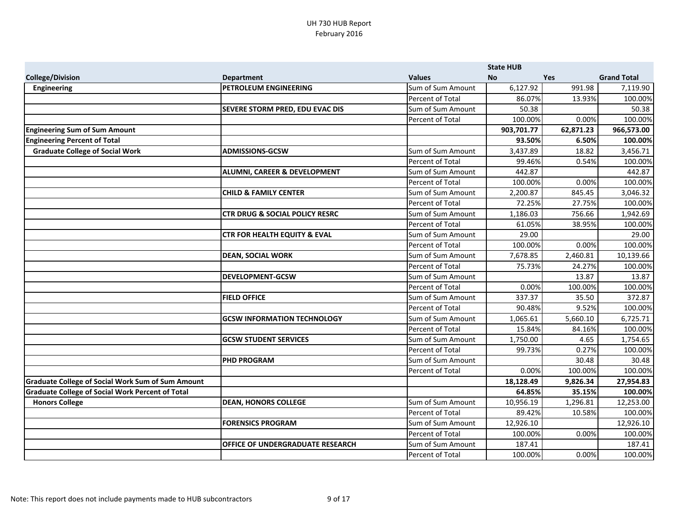|                                                          |                                           |                   | <b>State HUB</b> |            |                    |
|----------------------------------------------------------|-------------------------------------------|-------------------|------------------|------------|--------------------|
| <b>College/Division</b>                                  | <b>Department</b>                         | <b>Values</b>     | <b>No</b>        | <b>Yes</b> | <b>Grand Total</b> |
| Engineering                                              | <b>PETROLEUM ENGINEERING</b>              | Sum of Sum Amount | 6,127.92         | 991.98     | 7,119.90           |
|                                                          |                                           | Percent of Total  | 86.07%           | 13.93%     | 100.00%            |
|                                                          | <b>SEVERE STORM PRED, EDU EVAC DIS</b>    | Sum of Sum Amount | 50.38            |            | 50.38              |
|                                                          |                                           | Percent of Total  | 100.00%          | 0.00%      | 100.00%            |
| <b>Engineering Sum of Sum Amount</b>                     |                                           |                   | 903,701.77       | 62,871.23  | 966,573.00         |
| <b>Engineering Percent of Total</b>                      |                                           |                   | 93.50%           | 6.50%      | 100.00%            |
| <b>Graduate College of Social Work</b>                   | <b>ADMISSIONS-GCSW</b>                    | Sum of Sum Amount | 3,437.89         | 18.82      | 3,456.71           |
|                                                          |                                           | Percent of Total  | 99.46%           | 0.54%      | 100.00%            |
|                                                          | <b>ALUMNI, CAREER &amp; DEVELOPMENT</b>   | Sum of Sum Amount | 442.87           |            | 442.87             |
|                                                          |                                           | Percent of Total  | 100.00%          | 0.00%      | 100.00%            |
|                                                          | <b>CHILD &amp; FAMILY CENTER</b>          | Sum of Sum Amount | 2,200.87         | 845.45     | 3,046.32           |
|                                                          |                                           | Percent of Total  | 72.25%           | 27.75%     | 100.00%            |
|                                                          | <b>CTR DRUG &amp; SOCIAL POLICY RESRC</b> | Sum of Sum Amount | 1,186.03         | 756.66     | 1,942.69           |
|                                                          |                                           | Percent of Total  | 61.05%           | 38.95%     | 100.00%            |
|                                                          | <b>CTR FOR HEALTH EQUITY &amp; EVAL</b>   | Sum of Sum Amount | 29.00            |            | 29.00              |
|                                                          |                                           | Percent of Total  | 100.00%          | 0.00%      | 100.00%            |
|                                                          | <b>DEAN, SOCIAL WORK</b>                  | Sum of Sum Amount | 7,678.85         | 2,460.81   | 10,139.66          |
|                                                          |                                           | Percent of Total  | 75.73%           | 24.27%     | 100.00%            |
|                                                          | <b>DEVELOPMENT-GCSW</b>                   | Sum of Sum Amount |                  | 13.87      | 13.87              |
|                                                          |                                           | Percent of Total  | 0.00%            | 100.00%    | 100.00%            |
|                                                          | <b>FIELD OFFICE</b>                       | Sum of Sum Amount | 337.37           | 35.50      | 372.87             |
|                                                          |                                           | Percent of Total  | 90.48%           | 9.52%      | 100.00%            |
|                                                          | <b>GCSW INFORMATION TECHNOLOGY</b>        | Sum of Sum Amount | 1,065.61         | 5,660.10   | 6,725.71           |
|                                                          |                                           | Percent of Total  | 15.84%           | 84.16%     | 100.00%            |
|                                                          | <b>GCSW STUDENT SERVICES</b>              | Sum of Sum Amount | 1,750.00         | 4.65       | 1,754.65           |
|                                                          |                                           | Percent of Total  | 99.73%           | 0.27%      | 100.00%            |
|                                                          | <b>PHD PROGRAM</b>                        | Sum of Sum Amount |                  | 30.48      | 30.48              |
|                                                          |                                           | Percent of Total  | 0.00%            | 100.00%    | 100.00%            |
| <b>Graduate College of Social Work Sum of Sum Amount</b> |                                           |                   | 18,128.49        | 9,826.34   | 27,954.83          |
| <b>Graduate College of Social Work Percent of Total</b>  |                                           |                   | 64.85%           | 35.15%     | 100.00%            |
| <b>Honors College</b>                                    | <b>DEAN, HONORS COLLEGE</b>               | Sum of Sum Amount | 10,956.19        | 1,296.81   | 12,253.00          |
|                                                          |                                           | Percent of Total  | 89.42%           | 10.58%     | 100.00%            |
|                                                          | <b>FORENSICS PROGRAM</b>                  | Sum of Sum Amount | 12,926.10        |            | 12,926.10          |
|                                                          |                                           | Percent of Total  | 100.00%          | 0.00%      | 100.00%            |
|                                                          | <b>OFFICE OF UNDERGRADUATE RESEARCH</b>   | Sum of Sum Amount | 187.41           |            | 187.41             |
|                                                          |                                           | Percent of Total  | 100.00%          | 0.00%      | 100.00%            |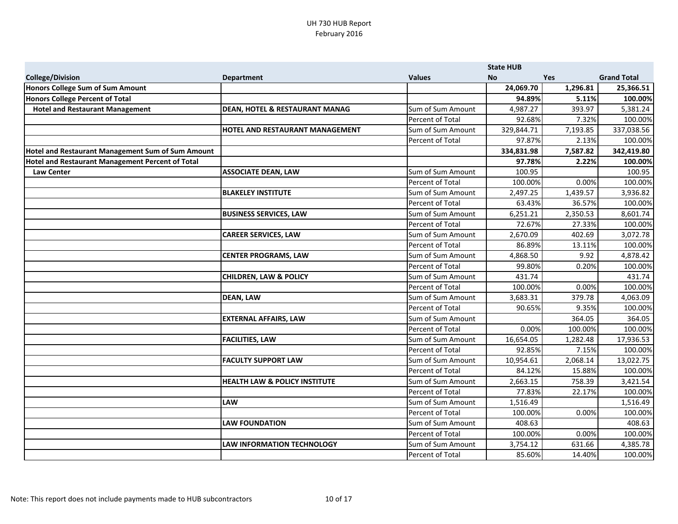|                                                         |                                           |                   | <b>State HUB</b> |            |                    |
|---------------------------------------------------------|-------------------------------------------|-------------------|------------------|------------|--------------------|
| <b>College/Division</b>                                 | <b>Department</b>                         | <b>Values</b>     | <b>No</b>        | <b>Yes</b> | <b>Grand Total</b> |
| Honors College Sum of Sum Amount                        |                                           |                   | 24,069.70        | 1,296.81   | 25,366.51          |
| <b>Honors College Percent of Total</b>                  |                                           |                   | 94.89%           | 5.11%      | 100.00%            |
| <b>Hotel and Restaurant Management</b>                  | <b>DEAN, HOTEL &amp; RESTAURANT MANAG</b> | Sum of Sum Amount | 4,987.27         | 393.97     | 5,381.24           |
|                                                         |                                           | Percent of Total  | 92.68%           | 7.32%      | 100.00%            |
|                                                         | HOTEL AND RESTAURANT MANAGEMENT           | Sum of Sum Amount | 329,844.71       | 7,193.85   | 337,038.56         |
|                                                         |                                           | Percent of Total  | 97.87%           | 2.13%      | 100.00%            |
| Hotel and Restaurant Management Sum of Sum Amount       |                                           |                   | 334,831.98       | 7,587.82   | 342,419.80         |
| <b>Hotel and Restaurant Management Percent of Total</b> |                                           |                   | 97.78%           | 2.22%      | 100.00%            |
| <b>Law Center</b>                                       | <b>ASSOCIATE DEAN, LAW</b>                | Sum of Sum Amount | 100.95           |            | 100.95             |
|                                                         |                                           | Percent of Total  | 100.00%          | 0.00%      | 100.00%            |
|                                                         | <b>BLAKELEY INSTITUTE</b>                 | Sum of Sum Amount | 2,497.25         | 1,439.57   | 3,936.82           |
|                                                         |                                           | Percent of Total  | 63.43%           | 36.57%     | 100.00%            |
|                                                         | <b>BUSINESS SERVICES, LAW</b>             | Sum of Sum Amount | 6,251.21         | 2,350.53   | 8,601.74           |
|                                                         |                                           | Percent of Total  | 72.67%           | 27.33%     | 100.00%            |
|                                                         | <b>CAREER SERVICES, LAW</b>               | Sum of Sum Amount | 2,670.09         | 402.69     | 3,072.78           |
|                                                         |                                           | Percent of Total  | 86.89%           | 13.11%     | 100.00%            |
|                                                         | <b>CENTER PROGRAMS, LAW</b>               | Sum of Sum Amount | 4,868.50         | 9.92       | 4,878.42           |
|                                                         |                                           | Percent of Total  | 99.80%           | 0.20%      | 100.00%            |
|                                                         | <b>CHILDREN, LAW &amp; POLICY</b>         | Sum of Sum Amount | 431.74           |            | 431.74             |
|                                                         |                                           | Percent of Total  | 100.00%          | 0.00%      | 100.00%            |
|                                                         | <b>DEAN, LAW</b>                          | Sum of Sum Amount | 3,683.31         | 379.78     | 4,063.09           |
|                                                         |                                           | Percent of Total  | 90.65%           | 9.35%      | 100.00%            |
|                                                         | <b>EXTERNAL AFFAIRS, LAW</b>              | Sum of Sum Amount |                  | 364.05     | 364.05             |
|                                                         |                                           | Percent of Total  | 0.00%            | 100.00%    | 100.00%            |
|                                                         | <b>FACILITIES, LAW</b>                    | Sum of Sum Amount | 16,654.05        | 1,282.48   | 17,936.53          |
|                                                         |                                           | Percent of Total  | 92.85%           | 7.15%      | 100.00%            |
|                                                         | <b>FACULTY SUPPORT LAW</b>                | Sum of Sum Amount | 10,954.61        | 2,068.14   | 13,022.75          |
|                                                         |                                           | Percent of Total  | 84.12%           | 15.88%     | 100.00%            |
|                                                         | <b>HEALTH LAW &amp; POLICY INSTITUTE</b>  | Sum of Sum Amount | 2,663.15         | 758.39     | 3,421.54           |
|                                                         |                                           | Percent of Total  | 77.83%           | 22.17%     | 100.00%            |
|                                                         | <b>LAW</b>                                | Sum of Sum Amount | 1,516.49         |            | 1,516.49           |
|                                                         |                                           | Percent of Total  | 100.00%          | 0.00%      | 100.00%            |
|                                                         | <b>LAW FOUNDATION</b>                     | Sum of Sum Amount | 408.63           |            | 408.63             |
|                                                         |                                           | Percent of Total  | 100.00%          | 0.00%      | 100.00%            |
|                                                         | <b>LAW INFORMATION TECHNOLOGY</b>         | Sum of Sum Amount | 3,754.12         | 631.66     | 4,385.78           |
|                                                         |                                           | Percent of Total  | 85.60%           | 14.40%     | 100.00%            |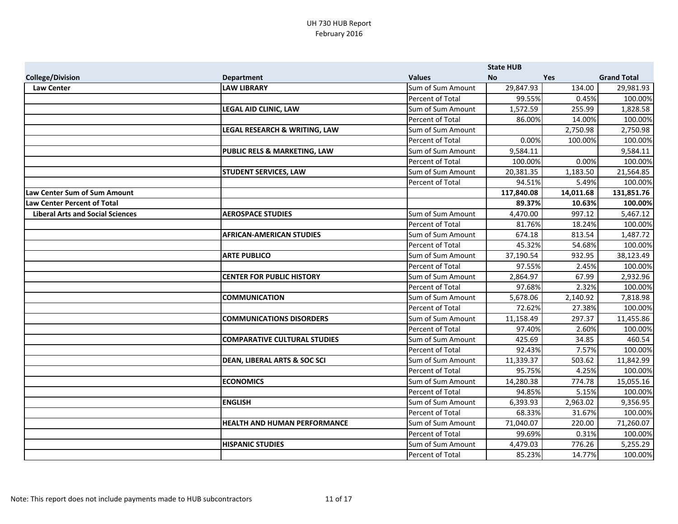|                                         |                                         |                         | <b>State HUB</b> |            |                    |
|-----------------------------------------|-----------------------------------------|-------------------------|------------------|------------|--------------------|
| <b>College/Division</b>                 | <b>Department</b>                       | <b>Values</b>           | <b>No</b>        | <b>Yes</b> | <b>Grand Total</b> |
| <b>Law Center</b>                       | <b>LAW LIBRARY</b>                      | Sum of Sum Amount       | 29,847.93        | 134.00     | 29,981.93          |
|                                         |                                         | Percent of Total        | 99.55%           | 0.45%      | 100.00%            |
|                                         | <b>LEGAL AID CLINIC, LAW</b>            | Sum of Sum Amount       | 1,572.59         | 255.99     | 1,828.58           |
|                                         |                                         | Percent of Total        | 86.00%           | 14.00%     | 100.00%            |
|                                         | LEGAL RESEARCH & WRITING, LAW           | Sum of Sum Amount       |                  | 2,750.98   | 2,750.98           |
|                                         |                                         | Percent of Total        | 0.00%            | 100.00%    | 100.00%            |
|                                         | <b>PUBLIC RELS &amp; MARKETING, LAW</b> | Sum of Sum Amount       | 9,584.11         |            | 9,584.11           |
|                                         |                                         | Percent of Total        | 100.00%          | 0.00%      | 100.00%            |
|                                         | <b>STUDENT SERVICES, LAW</b>            | Sum of Sum Amount       | 20,381.35        | 1,183.50   | 21,564.85          |
|                                         |                                         | Percent of Total        | 94.51%           | 5.49%      | 100.00%            |
| Law Center Sum of Sum Amount            |                                         |                         | 117,840.08       | 14,011.68  | 131,851.76         |
| Law Center Percent of Total             |                                         |                         | 89.37%           | 10.63%     | 100.00%            |
| <b>Liberal Arts and Social Sciences</b> | <b>AEROSPACE STUDIES</b>                | Sum of Sum Amount       | 4,470.00         | 997.12     | 5,467.12           |
|                                         |                                         | Percent of Total        | 81.76%           | 18.24%     | 100.00%            |
|                                         | <b>AFRICAN-AMERICAN STUDIES</b>         | Sum of Sum Amount       | 674.18           | 813.54     | 1,487.72           |
|                                         |                                         | Percent of Total        | 45.32%           | 54.68%     | 100.00%            |
|                                         | <b>ARTE PUBLICO</b>                     | Sum of Sum Amount       | 37,190.54        | 932.95     | 38,123.49          |
|                                         |                                         | Percent of Total        | 97.55%           | 2.45%      | 100.00%            |
|                                         | <b>CENTER FOR PUBLIC HISTORY</b>        | Sum of Sum Amount       | 2,864.97         | 67.99      | 2,932.96           |
|                                         |                                         | Percent of Total        | 97.68%           | 2.32%      | 100.00%            |
|                                         | <b>COMMUNICATION</b>                    | Sum of Sum Amount       | 5,678.06         | 2,140.92   | 7,818.98           |
|                                         |                                         | <b>Percent of Total</b> | 72.62%           | 27.38%     | 100.00%            |
|                                         | <b>COMMUNICATIONS DISORDERS</b>         | Sum of Sum Amount       | 11,158.49        | 297.37     | 11,455.86          |
|                                         |                                         | Percent of Total        | 97.40%           | 2.60%      | 100.00%            |
|                                         | <b>COMPARATIVE CULTURAL STUDIES</b>     | Sum of Sum Amount       | 425.69           | 34.85      | 460.54             |
|                                         |                                         | Percent of Total        | 92.43%           | 7.57%      | 100.00%            |
|                                         | <b>DEAN, LIBERAL ARTS &amp; SOC SCI</b> | Sum of Sum Amount       | 11,339.37        | 503.62     | 11,842.99          |
|                                         |                                         | Percent of Total        | 95.75%           | 4.25%      | 100.00%            |
|                                         | <b>ECONOMICS</b>                        | Sum of Sum Amount       | 14,280.38        | 774.78     | 15,055.16          |
|                                         |                                         | Percent of Total        | 94.85%           | 5.15%      | 100.00%            |
|                                         | <b>ENGLISH</b>                          | Sum of Sum Amount       | 6,393.93         | 2,963.02   | 9,356.95           |
|                                         |                                         | Percent of Total        | 68.33%           | 31.67%     | 100.00%            |
|                                         | <b>HEALTH AND HUMAN PERFORMANCE</b>     | Sum of Sum Amount       | 71,040.07        | 220.00     | 71,260.07          |
|                                         |                                         | Percent of Total        | 99.69%           | 0.31%      | 100.00%            |
|                                         | <b>HISPANIC STUDIES</b>                 | Sum of Sum Amount       | 4,479.03         | 776.26     | 5,255.29           |
|                                         |                                         | Percent of Total        | 85.23%           | 14.77%     | 100.00%            |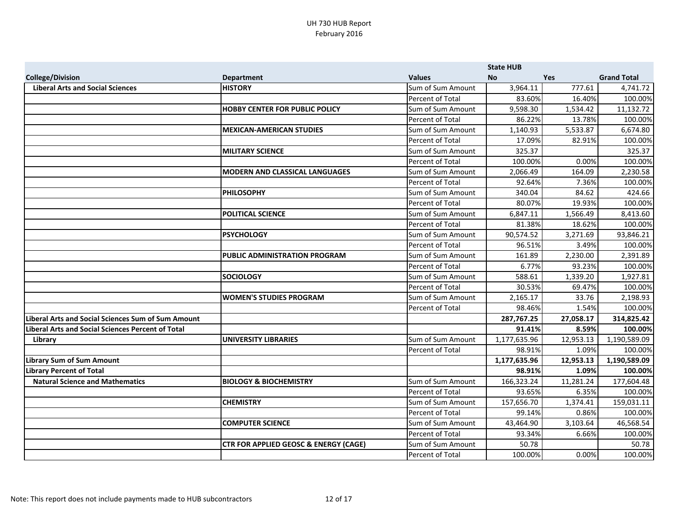|                                                           |                                                  |                   | <b>State HUB</b> |            |                    |
|-----------------------------------------------------------|--------------------------------------------------|-------------------|------------------|------------|--------------------|
| <b>College/Division</b>                                   | <b>Department</b>                                | <b>Values</b>     | <b>No</b>        | <b>Yes</b> | <b>Grand Total</b> |
| <b>Liberal Arts and Social Sciences</b>                   | <b>HISTORY</b>                                   | Sum of Sum Amount | 3,964.11         | 777.61     | 4,741.72           |
|                                                           |                                                  | Percent of Total  | 83.60%           | 16.40%     | 100.00%            |
|                                                           | <b>HOBBY CENTER FOR PUBLIC POLICY</b>            | Sum of Sum Amount | 9,598.30         | 1,534.42   | 11,132.72          |
|                                                           |                                                  | Percent of Total  | 86.22%           | 13.78%     | 100.00%            |
|                                                           | <b>MEXICAN-AMERICAN STUDIES</b>                  | Sum of Sum Amount | 1,140.93         | 5,533.87   | 6,674.80           |
|                                                           |                                                  | Percent of Total  | 17.09%           | 82.91%     | 100.00%            |
|                                                           | <b>MILITARY SCIENCE</b>                          | Sum of Sum Amount | 325.37           |            | 325.37             |
|                                                           |                                                  | Percent of Total  | 100.00%          | 0.00%      | 100.00%            |
|                                                           | <b>MODERN AND CLASSICAL LANGUAGES</b>            | Sum of Sum Amount | 2,066.49         | 164.09     | 2,230.58           |
|                                                           |                                                  | Percent of Total  | 92.64%           | 7.36%      | 100.00%            |
|                                                           | <b>PHILOSOPHY</b>                                | Sum of Sum Amount | 340.04           | 84.62      | 424.66             |
|                                                           |                                                  | Percent of Total  | 80.07%           | 19.93%     | 100.00%            |
|                                                           | <b>POLITICAL SCIENCE</b>                         | Sum of Sum Amount | 6,847.11         | 1,566.49   | 8,413.60           |
|                                                           |                                                  | Percent of Total  | 81.38%           | 18.62%     | 100.00%            |
|                                                           | <b>PSYCHOLOGY</b>                                | Sum of Sum Amount | 90,574.52        | 3,271.69   | 93,846.21          |
|                                                           |                                                  | Percent of Total  | 96.51%           | 3.49%      | 100.00%            |
|                                                           | <b>PUBLIC ADMINISTRATION PROGRAM</b>             | Sum of Sum Amount | 161.89           | 2,230.00   | 2,391.89           |
|                                                           |                                                  | Percent of Total  | 6.77%            | 93.23%     | 100.00%            |
|                                                           | <b>SOCIOLOGY</b>                                 | Sum of Sum Amount | 588.61           | 1,339.20   | 1,927.81           |
|                                                           |                                                  | Percent of Total  | 30.53%           | 69.47%     | 100.00%            |
|                                                           | <b>WOMEN'S STUDIES PROGRAM</b>                   | Sum of Sum Amount | 2,165.17         | 33.76      | 2,198.93           |
|                                                           |                                                  | Percent of Total  | 98.46%           | 1.54%      | 100.00%            |
| <b>Liberal Arts and Social Sciences Sum of Sum Amount</b> |                                                  |                   | 287,767.25       | 27,058.17  | 314,825.42         |
| <b>Liberal Arts and Social Sciences Percent of Total</b>  |                                                  |                   | 91.41%           | 8.59%      | 100.00%            |
| Library                                                   | <b>UNIVERSITY LIBRARIES</b>                      | Sum of Sum Amount | 1,177,635.96     | 12,953.13  | 1,190,589.09       |
|                                                           |                                                  | Percent of Total  | 98.91%           | 1.09%      | 100.00%            |
| <b>Library Sum of Sum Amount</b>                          |                                                  |                   | 1,177,635.96     | 12,953.13  | 1,190,589.09       |
| <b>Library Percent of Total</b>                           |                                                  |                   | 98.91%           | 1.09%      | 100.00%            |
| <b>Natural Science and Mathematics</b>                    | <b>BIOLOGY &amp; BIOCHEMISTRY</b>                | Sum of Sum Amount | 166,323.24       | 11,281.24  | 177,604.48         |
|                                                           |                                                  | Percent of Total  | 93.65%           | 6.35%      | 100.00%            |
|                                                           | <b>CHEMISTRY</b>                                 | Sum of Sum Amount | 157,656.70       | 1,374.41   | 159,031.11         |
|                                                           |                                                  | Percent of Total  | 99.14%           | 0.86%      | 100.00%            |
|                                                           | <b>COMPUTER SCIENCE</b>                          | Sum of Sum Amount | 43,464.90        | 3,103.64   | 46,568.54          |
|                                                           |                                                  | Percent of Total  | 93.34%           | 6.66%      | 100.00%            |
|                                                           | <b>CTR FOR APPLIED GEOSC &amp; ENERGY (CAGE)</b> | Sum of Sum Amount | 50.78            |            | 50.78              |
|                                                           |                                                  | Percent of Total  | 100.00%          | 0.00%      | 100.00%            |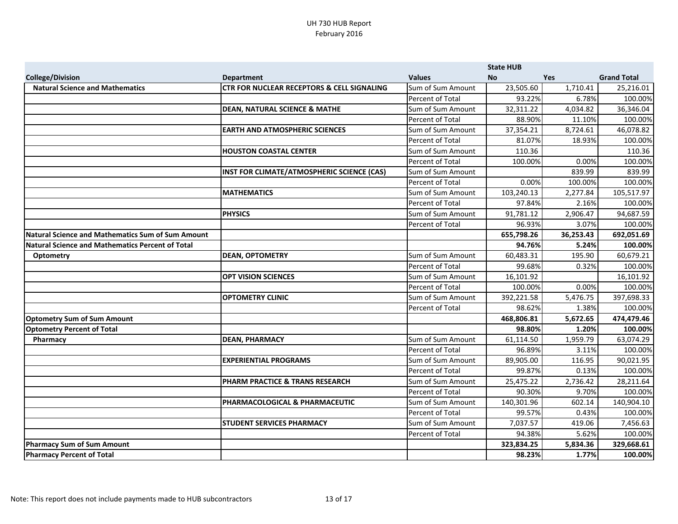|                                                          |                                                       |                         | <b>State HUB</b> |            |                    |
|----------------------------------------------------------|-------------------------------------------------------|-------------------------|------------------|------------|--------------------|
| <b>College/Division</b>                                  | <b>Department</b>                                     | <b>Values</b>           | <b>No</b>        | <b>Yes</b> | <b>Grand Total</b> |
| <b>Natural Science and Mathematics</b>                   | <b>CTR FOR NUCLEAR RECEPTORS &amp; CELL SIGNALING</b> | Sum of Sum Amount       | 23,505.60        | 1,710.41   | 25,216.01          |
|                                                          |                                                       | Percent of Total        | 93.22%           | 6.78%      | 100.00%            |
|                                                          | <b>DEAN, NATURAL SCIENCE &amp; MATHE</b>              | Sum of Sum Amount       | 32,311.22        | 4,034.82   | 36,346.04          |
|                                                          |                                                       | <b>Percent of Total</b> | 88.90%           | 11.10%     | 100.00%            |
|                                                          | <b>EARTH AND ATMOSPHERIC SCIENCES</b>                 | Sum of Sum Amount       | 37,354.21        | 8,724.61   | 46,078.82          |
|                                                          |                                                       | Percent of Total        | 81.07%           | 18.93%     | 100.00%            |
|                                                          | <b>HOUSTON COASTAL CENTER</b>                         | Sum of Sum Amount       | 110.36           |            | 110.36             |
|                                                          |                                                       | Percent of Total        | 100.00%          | 0.00%      | 100.00%            |
|                                                          | <b>INST FOR CLIMATE/ATMOSPHERIC SCIENCE (CAS)</b>     | Sum of Sum Amount       |                  | 839.99     | 839.99             |
|                                                          |                                                       | <b>Percent of Total</b> | 0.00%            | 100.00%    | 100.00%            |
|                                                          | <b>MATHEMATICS</b>                                    | Sum of Sum Amount       | 103,240.13       | 2,277.84   | 105,517.97         |
|                                                          |                                                       | Percent of Total        | 97.84%           | 2.16%      | 100.00%            |
|                                                          | <b>PHYSICS</b>                                        | Sum of Sum Amount       | 91,781.12        | 2,906.47   | 94,687.59          |
|                                                          |                                                       | Percent of Total        | 96.93%           | 3.07%      | 100.00%            |
| <b>Natural Science and Mathematics Sum of Sum Amount</b> |                                                       |                         | 655,798.26       | 36,253.43  | 692,051.69         |
| <b>Natural Science and Mathematics Percent of Total</b>  |                                                       |                         | 94.76%           | 5.24%      | 100.00%            |
| <b>Optometry</b>                                         | <b>DEAN, OPTOMETRY</b>                                | Sum of Sum Amount       | 60,483.31        | 195.90     | 60,679.21          |
|                                                          |                                                       | Percent of Total        | 99.68%           | 0.32%      | 100.00%            |
|                                                          | <b>OPT VISION SCIENCES</b>                            | Sum of Sum Amount       | 16,101.92        |            | 16,101.92          |
|                                                          |                                                       | Percent of Total        | 100.00%          | 0.00%      | 100.00%            |
|                                                          | <b>OPTOMETRY CLINIC</b>                               | Sum of Sum Amount       | 392,221.58       | 5,476.75   | 397,698.33         |
|                                                          |                                                       | Percent of Total        | 98.62%           | 1.38%      | 100.00%            |
| <b>Optometry Sum of Sum Amount</b>                       |                                                       |                         | 468,806.81       | 5,672.65   | 474,479.46         |
| <b>Optometry Percent of Total</b>                        |                                                       |                         | 98.80%           | 1.20%      | 100.00%            |
| Pharmacy                                                 | <b>DEAN, PHARMACY</b>                                 | Sum of Sum Amount       | 61,114.50        | 1,959.79   | 63,074.29          |
|                                                          |                                                       | Percent of Total        | 96.89%           | 3.11%      | 100.00%            |
|                                                          | <b>EXPERIENTIAL PROGRAMS</b>                          | Sum of Sum Amount       | 89,905.00        | 116.95     | 90,021.95          |
|                                                          |                                                       | Percent of Total        | 99.87%           | 0.13%      | 100.00%            |
|                                                          | <b>PHARM PRACTICE &amp; TRANS RESEARCH</b>            | Sum of Sum Amount       | 25,475.22        | 2,736.42   | 28,211.64          |
|                                                          |                                                       | Percent of Total        | 90.30%           | 9.70%      | 100.00%            |
|                                                          | PHARMACOLOGICAL & PHARMACEUTIC                        | Sum of Sum Amount       | 140,301.96       | 602.14     | 140,904.10         |
|                                                          |                                                       | Percent of Total        | 99.57%           | 0.43%      | 100.00%            |
|                                                          | <b>STUDENT SERVICES PHARMACY</b>                      | Sum of Sum Amount       | 7,037.57         | 419.06     | 7,456.63           |
|                                                          |                                                       | Percent of Total        | 94.38%           | 5.62%      | 100.00%            |
| <b>Pharmacy Sum of Sum Amount</b>                        |                                                       |                         | 323,834.25       | 5,834.36   | 329,668.61         |
| <b>Pharmacy Percent of Total</b>                         |                                                       |                         | 98.23%           | 1.77%      | 100.00%            |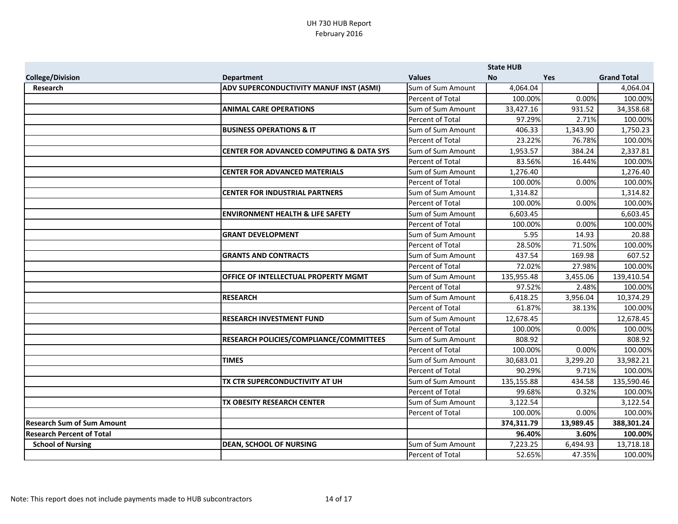|                                   |                                                     |                         | <b>State HUB</b> |            |                    |
|-----------------------------------|-----------------------------------------------------|-------------------------|------------------|------------|--------------------|
| <b>College/Division</b>           | <b>Department</b>                                   | <b>Values</b>           | <b>No</b>        | <b>Yes</b> | <b>Grand Total</b> |
| Research                          | ADV SUPERCONDUCTIVITY MANUF INST (ASMI)             | Sum of Sum Amount       | 4,064.04         |            | 4,064.04           |
|                                   |                                                     | Percent of Total        | 100.00%          | 0.00%      | 100.00%            |
|                                   | <b>ANIMAL CARE OPERATIONS</b>                       | Sum of Sum Amount       | 33,427.16        | 931.52     | 34,358.68          |
|                                   |                                                     | Percent of Total        | 97.29%           | 2.71%      | 100.00%            |
|                                   | <b>BUSINESS OPERATIONS &amp; IT</b>                 | Sum of Sum Amount       | 406.33           | 1,343.90   | 1,750.23           |
|                                   |                                                     | <b>Percent of Total</b> | 23.22%           | 76.78%     | 100.00%            |
|                                   | <b>CENTER FOR ADVANCED COMPUTING &amp; DATA SYS</b> | Sum of Sum Amount       | 1,953.57         | 384.24     | 2,337.81           |
|                                   |                                                     | Percent of Total        | 83.56%           | 16.44%     | 100.00%            |
|                                   | <b>CENTER FOR ADVANCED MATERIALS</b>                | Sum of Sum Amount       | 1,276.40         |            | 1,276.40           |
|                                   |                                                     | Percent of Total        | 100.00%          | 0.00%      | 100.00%            |
|                                   | <b>CENTER FOR INDUSTRIAL PARTNERS</b>               | Sum of Sum Amount       | 1,314.82         |            | 1,314.82           |
|                                   |                                                     | Percent of Total        | 100.00%          | 0.00%      | 100.00%            |
|                                   | <b>ENVIRONMENT HEALTH &amp; LIFE SAFETY</b>         | Sum of Sum Amount       | 6,603.45         |            | 6,603.45           |
|                                   |                                                     | Percent of Total        | 100.00%          | 0.00%      | 100.00%            |
|                                   | <b>GRANT DEVELOPMENT</b>                            | Sum of Sum Amount       | 5.95             | 14.93      | 20.88              |
|                                   |                                                     | Percent of Total        | 28.50%           | 71.50%     | 100.00%            |
|                                   | <b>GRANTS AND CONTRACTS</b>                         | Sum of Sum Amount       | 437.54           | 169.98     | 607.52             |
|                                   |                                                     | <b>Percent of Total</b> | 72.02%           | 27.98%     | 100.00%            |
|                                   | <b>OFFICE OF INTELLECTUAL PROPERTY MGMT</b>         | Sum of Sum Amount       | 135,955.48       | 3,455.06   | 139,410.54         |
|                                   |                                                     | Percent of Total        | 97.52%           | 2.48%      | 100.00%            |
|                                   | <b>RESEARCH</b>                                     | Sum of Sum Amount       | 6,418.25         | 3,956.04   | 10,374.29          |
|                                   |                                                     | Percent of Total        | 61.87%           | 38.13%     | 100.00%            |
|                                   | <b>RESEARCH INVESTMENT FUND</b>                     | Sum of Sum Amount       | 12,678.45        |            | 12,678.45          |
|                                   |                                                     | Percent of Total        | 100.00%          | 0.00%      | 100.00%            |
|                                   | <b>RESEARCH POLICIES/COMPLIANCE/COMMITTEES</b>      | Sum of Sum Amount       | 808.92           |            | 808.92             |
|                                   |                                                     | Percent of Total        | 100.00%          | 0.00%      | 100.00%            |
|                                   | <b>TIMES</b>                                        | Sum of Sum Amount       | 30,683.01        | 3,299.20   | 33,982.21          |
|                                   |                                                     | Percent of Total        | 90.29%           | 9.71%      | 100.00%            |
|                                   | TX CTR SUPERCONDUCTIVITY AT UH                      | Sum of Sum Amount       | 135,155.88       | 434.58     | 135,590.46         |
|                                   |                                                     | Percent of Total        | 99.68%           | 0.32%      | 100.00%            |
|                                   | TX OBESITY RESEARCH CENTER                          | Sum of Sum Amount       | 3,122.54         |            | 3,122.54           |
|                                   |                                                     | Percent of Total        | 100.00%          | 0.00%      | 100.00%            |
| <b>Research Sum of Sum Amount</b> |                                                     |                         | 374,311.79       | 13,989.45  | 388,301.24         |
| <b>Research Percent of Total</b>  |                                                     |                         | 96.40%           | 3.60%      | 100.00%            |
| <b>School of Nursing</b>          | <b>DEAN, SCHOOL OF NURSING</b>                      | Sum of Sum Amount       | 7,223.25         | 6,494.93   | 13,718.18          |
|                                   |                                                     | Percent of Total        | 52.65%           | 47.35%     | 100.00%            |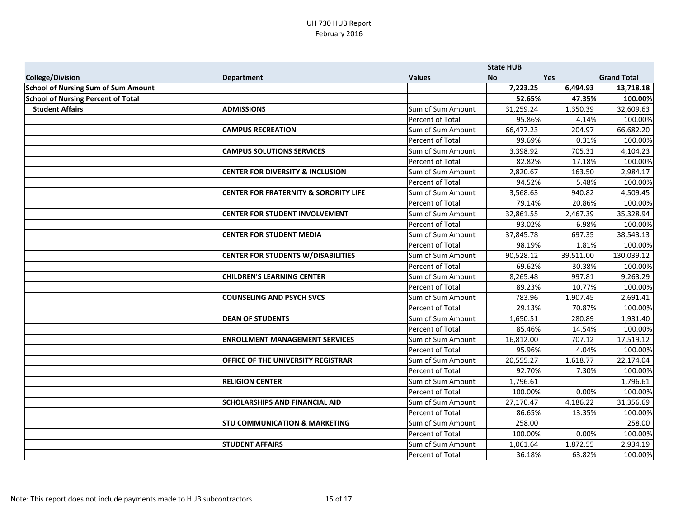|                                            |                                                  |                         | <b>State HUB</b> |            |                    |
|--------------------------------------------|--------------------------------------------------|-------------------------|------------------|------------|--------------------|
| <b>College/Division</b>                    | <b>Department</b>                                | <b>Values</b>           | <b>No</b>        | <b>Yes</b> | <b>Grand Total</b> |
| <b>School of Nursing Sum of Sum Amount</b> |                                                  |                         | 7,223.25         | 6,494.93   | 13,718.18          |
| <b>School of Nursing Percent of Total</b>  |                                                  |                         | 52.65%           | 47.35%     | 100.00%            |
| <b>Student Affairs</b>                     | <b>ADMISSIONS</b>                                | Sum of Sum Amount       | 31,259.24        | 1,350.39   | 32,609.63          |
|                                            |                                                  | Percent of Total        | 95.86%           | 4.14%      | 100.00%            |
|                                            | <b>CAMPUS RECREATION</b>                         | Sum of Sum Amount       | 66,477.23        | 204.97     | 66,682.20          |
|                                            |                                                  | Percent of Total        | 99.69%           | 0.31%      | 100.00%            |
|                                            | <b>CAMPUS SOLUTIONS SERVICES</b>                 | Sum of Sum Amount       | 3,398.92         | 705.31     | 4,104.23           |
|                                            |                                                  | Percent of Total        | 82.82%           | 17.18%     | 100.00%            |
|                                            | <b>CENTER FOR DIVERSITY &amp; INCLUSION</b>      | Sum of Sum Amount       | 2,820.67         | 163.50     | 2,984.17           |
|                                            |                                                  | Percent of Total        | 94.52%           | 5.48%      | 100.00%            |
|                                            | <b>CENTER FOR FRATERNITY &amp; SORORITY LIFE</b> | Sum of Sum Amount       | 3,568.63         | 940.82     | 4,509.45           |
|                                            |                                                  | Percent of Total        | 79.14%           | 20.86%     | 100.00%            |
|                                            | <b>CENTER FOR STUDENT INVOLVEMENT</b>            | Sum of Sum Amount       | 32,861.55        | 2,467.39   | 35,328.94          |
|                                            |                                                  | Percent of Total        | 93.02%           | 6.98%      | 100.00%            |
|                                            | <b>CENTER FOR STUDENT MEDIA</b>                  | Sum of Sum Amount       | 37,845.78        | 697.35     | 38,543.13          |
|                                            |                                                  | Percent of Total        | 98.19%           | 1.81%      | 100.00%            |
|                                            | <b>CENTER FOR STUDENTS W/DISABILITIES</b>        | Sum of Sum Amount       | 90,528.12        | 39,511.00  | 130,039.12         |
|                                            |                                                  | <b>Percent of Total</b> | 69.62%           | 30.38%     | 100.00%            |
|                                            | <b>CHILDREN'S LEARNING CENTER</b>                | Sum of Sum Amount       | 8,265.48         | 997.81     | 9,263.29           |
|                                            |                                                  | Percent of Total        | 89.23%           | 10.77%     | 100.00%            |
|                                            | <b>COUNSELING AND PSYCH SVCS</b>                 | Sum of Sum Amount       | 783.96           | 1,907.45   | 2,691.41           |
|                                            |                                                  | Percent of Total        | 29.13%           | 70.87%     | 100.00%            |
|                                            | <b>DEAN OF STUDENTS</b>                          | Sum of Sum Amount       | 1,650.51         | 280.89     | 1,931.40           |
|                                            |                                                  | Percent of Total        | 85.46%           | 14.54%     | 100.00%            |
|                                            | <b>ENROLLMENT MANAGEMENT SERVICES</b>            | Sum of Sum Amount       | 16,812.00        | 707.12     | 17,519.12          |
|                                            |                                                  | Percent of Total        | 95.96%           | 4.04%      | 100.00%            |
|                                            | <b>OFFICE OF THE UNIVERSITY REGISTRAR</b>        | Sum of Sum Amount       | 20,555.27        | 1,618.77   | 22,174.04          |
|                                            |                                                  | Percent of Total        | 92.70%           | 7.30%      | 100.00%            |
|                                            | <b>RELIGION CENTER</b>                           | Sum of Sum Amount       | 1,796.61         |            | 1,796.61           |
|                                            |                                                  | Percent of Total        | 100.00%          | 0.00%      | 100.00%            |
|                                            | <b>SCHOLARSHIPS AND FINANCIAL AID</b>            | Sum of Sum Amount       | 27,170.47        | 4,186.22   | 31,356.69          |
|                                            |                                                  | Percent of Total        | 86.65%           | 13.35%     | 100.00%            |
|                                            | <b>STU COMMUNICATION &amp; MARKETING</b>         | Sum of Sum Amount       | 258.00           |            | 258.00             |
|                                            |                                                  | Percent of Total        | 100.00%          | 0.00%      | 100.00%            |
|                                            | <b>STUDENT AFFAIRS</b>                           | Sum of Sum Amount       | 1,061.64         | 1,872.55   | 2,934.19           |
|                                            |                                                  | Percent of Total        | 36.18%           | 63.82%     | 100.00%            |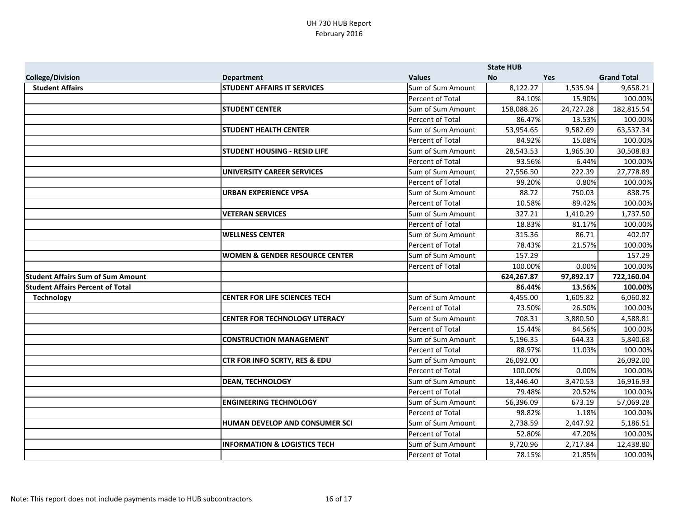|                                          |                                           |                   | <b>State HUB</b> |            |                    |
|------------------------------------------|-------------------------------------------|-------------------|------------------|------------|--------------------|
| <b>College/Division</b>                  | <b>Department</b>                         | <b>Values</b>     | <b>No</b>        | <b>Yes</b> | <b>Grand Total</b> |
| <b>Student Affairs</b>                   | <b>STUDENT AFFAIRS IT SERVICES</b>        | Sum of Sum Amount | 8,122.27         | 1,535.94   | 9,658.21           |
|                                          |                                           | Percent of Total  | 84.10%           | 15.90%     | 100.00%            |
|                                          | <b>STUDENT CENTER</b>                     | Sum of Sum Amount | 158,088.26       | 24,727.28  | 182,815.54         |
|                                          |                                           | Percent of Total  | 86.47%           | 13.53%     | 100.00%            |
|                                          | <b>STUDENT HEALTH CENTER</b>              | Sum of Sum Amount | 53,954.65        | 9,582.69   | 63,537.34          |
|                                          |                                           | Percent of Total  | 84.92%           | 15.08%     | 100.00%            |
|                                          | <b>STUDENT HOUSING - RESID LIFE</b>       | Sum of Sum Amount | 28,543.53        | 1,965.30   | 30,508.83          |
|                                          |                                           | Percent of Total  | 93.56%           | 6.44%      | 100.00%            |
|                                          | UNIVERSITY CAREER SERVICES                | Sum of Sum Amount | 27,556.50        | 222.39     | 27,778.89          |
|                                          |                                           | Percent of Total  | 99.20%           | 0.80%      | 100.00%            |
|                                          | <b>URBAN EXPERIENCE VPSA</b>              | Sum of Sum Amount | 88.72            | 750.03     | 838.75             |
|                                          |                                           | Percent of Total  | 10.58%           | 89.42%     | 100.00%            |
|                                          | <b>VETERAN SERVICES</b>                   | Sum of Sum Amount | 327.21           | 1,410.29   | 1,737.50           |
|                                          |                                           | Percent of Total  | 18.83%           | 81.17%     | 100.00%            |
|                                          | <b>WELLNESS CENTER</b>                    | Sum of Sum Amount | 315.36           | 86.71      | 402.07             |
|                                          |                                           | Percent of Total  | 78.43%           | 21.57%     | 100.00%            |
|                                          | <b>WOMEN &amp; GENDER RESOURCE CENTER</b> | Sum of Sum Amount | 157.29           |            | 157.29             |
|                                          |                                           | Percent of Total  | 100.00%          | 0.00%      | 100.00%            |
| <b>Student Affairs Sum of Sum Amount</b> |                                           |                   | 624,267.87       | 97,892.17  | 722,160.04         |
| <b>Student Affairs Percent of Total</b>  |                                           |                   | 86.44%           | 13.56%     | 100.00%            |
| <b>Technology</b>                        | <b>CENTER FOR LIFE SCIENCES TECH</b>      | Sum of Sum Amount | 4,455.00         | 1,605.82   | 6,060.82           |
|                                          |                                           | Percent of Total  | 73.50%           | 26.50%     | 100.00%            |
|                                          | <b>CENTER FOR TECHNOLOGY LITERACY</b>     | Sum of Sum Amount | 708.31           | 3,880.50   | 4,588.81           |
|                                          |                                           | Percent of Total  | 15.44%           | 84.56%     | 100.00%            |
|                                          | <b>CONSTRUCTION MANAGEMENT</b>            | Sum of Sum Amount | 5,196.35         | 644.33     | 5,840.68           |
|                                          |                                           | Percent of Total  | 88.97%           | 11.03%     | 100.00%            |
|                                          | CTR FOR INFO SCRTY, RES & EDU             | Sum of Sum Amount | 26,092.00        |            | 26,092.00          |
|                                          |                                           | Percent of Total  | 100.00%          | 0.00%      | 100.00%            |
|                                          | <b>DEAN, TECHNOLOGY</b>                   | Sum of Sum Amount | 13,446.40        | 3,470.53   | 16,916.93          |
|                                          |                                           | Percent of Total  | 79.48%           | 20.52%     | 100.00%            |
|                                          | <b>ENGINEERING TECHNOLOGY</b>             | Sum of Sum Amount | 56,396.09        | 673.19     | 57,069.28          |
|                                          |                                           | Percent of Total  | 98.82%           | 1.18%      | 100.00%            |
|                                          | HUMAN DEVELOP AND CONSUMER SCI            | Sum of Sum Amount | 2,738.59         | 2,447.92   | 5,186.51           |
|                                          |                                           | Percent of Total  | 52.80%           | 47.20%     | 100.00%            |
|                                          | <b>INFORMATION &amp; LOGISTICS TECH</b>   | Sum of Sum Amount | 9,720.96         | 2,717.84   | 12,438.80          |
|                                          |                                           | Percent of Total  | 78.15%           | 21.85%     | 100.00%            |